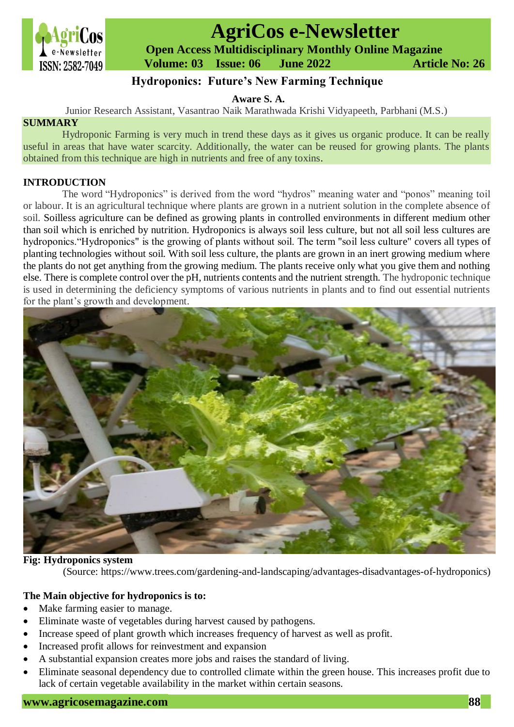

# **AgriCos e-Newsletter**

 **Open Access Multidisciplinary Monthly Online Magazine**

 **Volume: 03 Issue: 06 June 2022 Article No: 26**

# **Hydroponics: Future's New Farming Technique**

**Aware S. A.**

Junior Research Assistant, Vasantrao Naik Marathwada Krishi Vidyapeeth, Parbhani (M.S.)

## **SUMMARY**

Hydroponic Farming is very much in trend these days as it gives us organic produce. It can be really useful in areas that have water scarcity. Additionally, the water can be reused for growing plants. The plants obtained from this technique are high in nutrients and free of any toxins.

### **INTRODUCTION**

The word "Hydroponics" is derived from the word "hydros" meaning water and "ponos" meaning toil or labour. It is an agricultural technique where plants are grown in a nutrient solution in the complete absence of soil. Soilless agriculture can be defined as growing plants in controlled environments in different medium other than soil which is enriched by nutrition. Hydroponics is always soil less culture, but not all soil less cultures are hydroponics."Hydroponics" is the growing of plants without soil. The term "soil less culture" covers all types of planting technologies without soil. With soil less culture, the plants are grown in an inert growing medium where the plants do not get anything from the growing medium. The plants receive only what you give them and nothing else. There is complete control over the pH, nutrients contents and the nutrient strength. The hydroponic technique is used in determining the deficiency symptoms of various nutrients in plants and to find out essential nutrients for the plant's growth and development.



#### **Fig: Hydroponics system**

(Source: [https://www.trees.com/gardening-and-landscaping/advantages-disadvantages-of-hydroponics\)](https://www.trees.com/gardening-and-landscaping/advantages-disadvantages-of-hydroponics)

#### **The Main objective for hydroponics is to:**

- Make farming easier to manage.
- Eliminate waste of vegetables during harvest caused by pathogens.
- Increase speed of plant growth which increases frequency of harvest as well as profit.
- Increased profit allows for reinvestment and expansion
- A substantial expansion creates more jobs and raises the standard of living.
- Eliminate seasonal dependency due to controlled climate within the green house. This increases profit due to lack of certain vegetable availability in the market within certain seasons.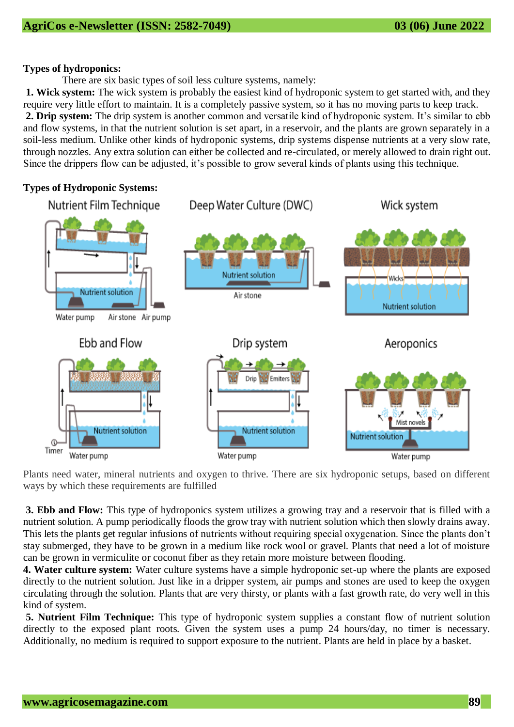#### **Types of hydroponics:**

There are six basic types of soil less culture systems, namely:

**1. Wick system:** The wick system is probably the easiest kind of hydroponic system to get started with, and they require very little effort to maintain. It is a completely passive system, so it has no moving parts to keep track. **2. Drip system:** The drip system is another common and versatile kind of hydroponic system. It's similar to ebb and flow systems, in that the nutrient solution is set apart, in a reservoir, and the plants are grown separately in a soil-less medium. Unlike other kinds of hydroponic systems, drip systems dispense nutrients at a very slow rate, through nozzles. Any extra solution can either be collected and re-circulated, or merely allowed to drain right out. Since the drippers flow can be adjusted, it's possible to grow several kinds of plants using this technique.

### **Types of Hydroponic Systems:**



Plants need water, mineral nutrients and oxygen to thrive. There are six hydroponic setups, based on different ways by which these requirements are fulfilled

**3. Ebb and Flow:** This type of hydroponics system utilizes a growing tray and a reservoir that is filled with a nutrient solution. A pump periodically floods the grow tray with nutrient solution which then slowly drains away. This lets the plants get regular infusions of nutrients without requiring special oxygenation. Since the plants don't stay submerged, they have to be grown in a medium like rock wool or gravel. Plants that need a lot of moisture can be grown in vermiculite or coconut fiber as they retain more moisture between flooding.

**4. Water culture system:** Water culture systems have a simple hydroponic set-up where the plants are exposed directly to the nutrient solution. Just like in a dripper system, air pumps and stones are used to keep the oxygen circulating through the solution. Plants that are very thirsty, or plants with a fast growth rate, do very well in this kind of system.

**5. Nutrient Film Technique:** This type of hydroponic system supplies a constant flow of nutrient solution directly to the exposed plant roots. Given the system uses a pump 24 hours/day, no timer is necessary. Additionally, no medium is required to support exposure to the nutrient. Plants are held in place by a basket.